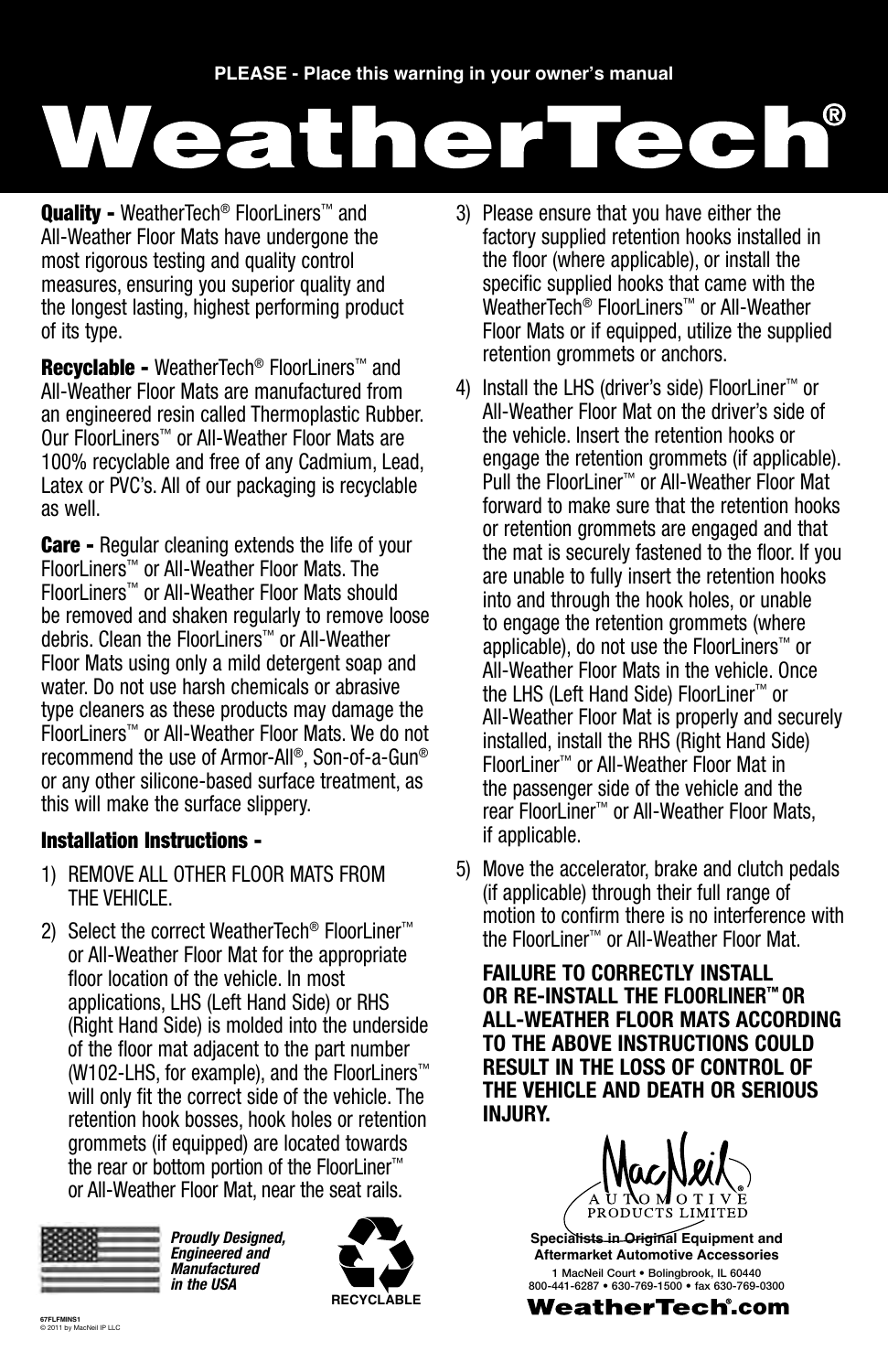# WeatherTecl

Quality - WeatherTech<sup>®</sup> FloorLiners<sup>™</sup> and All-Weather Floor Mats have undergone the most rigorous testing and quality control measures, ensuring you superior quality and the longest lasting, highest performing product of its type.

**Recyclable - WeatherTech<sup>®</sup> FloorLiners™ and** All-Weather Floor Mats are manufactured from an engineered resin called Thermoplastic Rubber. Our FloorLiners™ or All-Weather Floor Mats are 100% recyclable and free of any Cadmium, Lead, Latex or PVC's. All of our packaging is recyclable as well.

**Care -** Regular cleaning extends the life of your FloorLiners™ or All-Weather Floor Mats. The FloorLiners™ or All-Weather Floor Mats should be removed and shaken regularly to remove loose debris. Clean the FloorLiners™ or All-Weather Floor Mats using only a mild detergent soap and water. Do not use harsh chemicals or abrasive type cleaners as these products may damage the FloorLiners™ or All-Weather Floor Mats. We do not recommend the use of Armor-All®, Son-of-a-Gun® or any other silicone-based surface treatment, as this will make the surface slippery.

### Installation Instructions -

- 1) Remove ALL other Floor Mats from the vehicle.
- 2) Select the correct WeatherTech<sup>®</sup> FloorLiner<sup>™</sup> or All-Weather Floor Mat for the appropriate floor location of the vehicle. In most applications, LHS (Left Hand Side) or RHS (Right Hand Side) is molded into the underside of the floor mat adjacent to the part number (W102-LHS, for example), and the FloorLiners™ will only fit the correct side of the vehicle. The retention hook bosses, hook holes or retention grommets (if equipped) are located towards the rear or bottom portion of the FloorLiner™ or All-Weather Floor Mat, near the seat rails.



*Proudly Designed, Engineered and Manufactured in the USA*



- 3) Please ensure that you have either the factory supplied retention hooks installed in the floor (where applicable), or install the specific supplied hooks that came with the WeatherTech® FloorLiners™ or All-Weather Floor Mats or if equipped, utilize the supplied retention grommets or anchors.
- 4) Install the LHS (driver's side) FloorLiner™ or All-Weather Floor Mat on the driver's side of the vehicle. Insert the retention hooks or engage the retention grommets (if applicable). Pull the FloorLiner™ or All-Weather Floor Mat forward to make sure that the retention hooks or retention grommets are engaged and that the mat is securely fastened to the floor. If you are unable to fully insert the retention hooks into and through the hook holes, or unable to engage the retention grommets (where applicable), do not use the FloorLiners™ or All-Weather Floor Mats in the vehicle. Once the LHS (Left Hand Side) FloorLiner™ or All-Weather Floor Mat is properly and securely installed, install the RHS (Right Hand Side) FloorLiner™ or All-Weather Floor Mat in the passenger side of the vehicle and the rear FloorLiner™ or All-Weather Floor Mats, if applicable.
- 5) Move the accelerator, brake and clutch pedals (if applicable) through their full range of motion to confirm there is no interference with the FloorLiner™ or All-Weather Floor Mat.

**FAILURE TO CORRECTLY INSTALL OR RE-INSTALL THE FloorLiner™ or All-Weather Floor Mats ACCORDING TO THE ABOVE INSTRUCTIONS COULD RESULT IN THE LOSS OF CONTROL OF THE VEHICLE AND DEATH OR SERIOUS IN.ILIRY.** 

**RODHCTS LIM** 

**Specialists in Original Equipment and Aftermarket Automotive Accessories** 1 MacNeil Court • Bolingbrook, IL 60440 800-441-6287 • 630-769-1500 • fax 630-769-0300